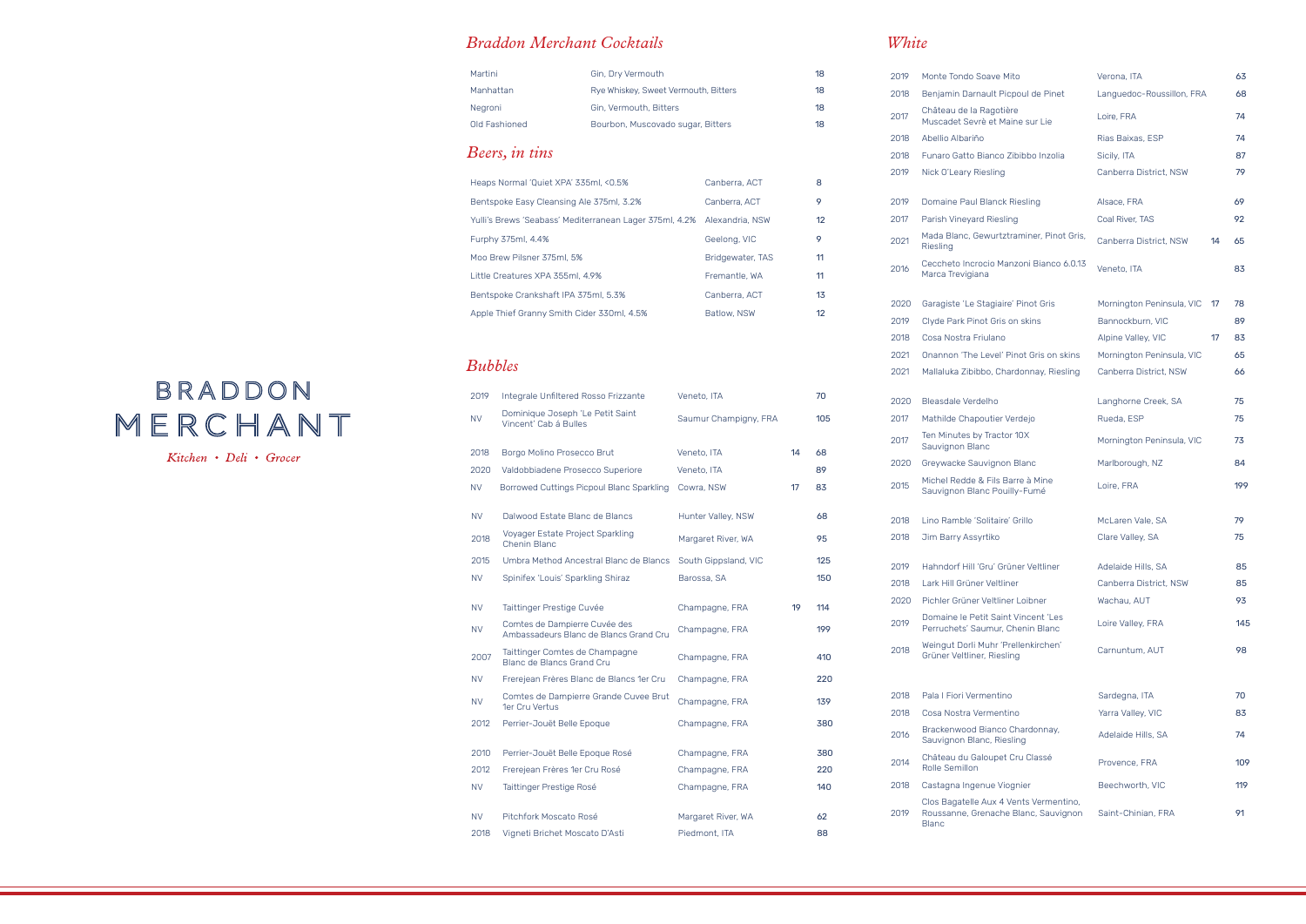| Heaps Normal 'Quiet XPA' 335ml, <0.5%                                   | Canberra, ACT    | 8  |
|-------------------------------------------------------------------------|------------------|----|
| Bentspoke Easy Cleansing Ale 375ml, 3.2%                                | Canberra, ACT    | 9  |
| Yulli's Brews 'Seabass' Mediterranean Lager 375ml, 4.2% Alexandria, NSW |                  | 12 |
| Furphy 375ml, 4.4%                                                      | Geelong, VIC     | 9  |
| Moo Brew Pilsner 375ml, 5%                                              | Bridgewater, TAS | 11 |
| Little Creatures XPA 355ml, 4.9%                                        | Fremantle, WA    | 11 |
| Bentspoke Crankshaft IPA 375ml, 5.3%                                    | Canberra, ACT    | 13 |
| Apple Thief Granny Smith Cider 330ml, 4.5%                              | Batlow, NSW      | 12 |

# *Beers, in tins*

## *Braddon Merchant Cocktails*

### Martini Gin, Dry Vermouth 18 Manhattan Rye Whiskey, Sweet Vermouth, Bitters 18 Negroni Gin, Vermouth, Bitters 18 Old Fashioned **Bourbon, Muscovado sugar, Bitters** 18

| 2019      | Integrale Unfiltered Rosso Frizzante                                    | Veneto, ITA           |    | 70  |
|-----------|-------------------------------------------------------------------------|-----------------------|----|-----|
| <b>NV</b> | Dominique Joseph 'Le Petit Saint<br>Vincent' Cab á Bulles               | Saumur Champigny, FRA |    | 105 |
| 2018      | Borgo Molino Prosecco Brut                                              | Veneto, ITA           | 14 | 68  |
| 2020      | Valdobbiadene Prosecco Superiore                                        | Veneto, ITA           |    | 89  |
| <b>NV</b> | Borrowed Cuttings Picpoul Blanc Sparkling                               | Cowra, NSW            | 17 | 83  |
| <b>NV</b> | Dalwood Estate Blanc de Blancs                                          | Hunter Valley, NSW    |    | 68  |
| 2018      | Voyager Estate Project Sparkling<br><b>Chenin Blanc</b>                 | Margaret River, WA    |    | 95  |
| 2015      | Umbra Method Ancestral Blanc de Blancs                                  | South Gippsland, VIC  |    | 125 |
| <b>NV</b> | Spinifex 'Louis' Sparkling Shiraz                                       | Barossa, SA           |    | 150 |
| <b>NV</b> | Taittinger Prestige Cuvée                                               | Champagne, FRA        | 19 | 114 |
| <b>NV</b> | Comtes de Dampierre Cuvée des<br>Ambassadeurs Blanc de Blancs Grand Cru | Champagne, FRA        |    | 199 |
| 2007      | Taittinger Comtes de Champagne<br>Blanc de Blancs Grand Cru             | Champagne, FRA        |    | 410 |
| <b>NV</b> | Frerejean Frères Blanc de Blancs 1er Cru                                | Champagne, FRA        |    | 220 |
| <b>NV</b> | Comtes de Dampierre Grande Cuvee Brut<br>1er Cru Vertus                 | Champagne, FRA        |    | 139 |
| 2012      | Perrier-Jouët Belle Epoque                                              | Champagne, FRA        |    | 380 |
| 2010      | Perrier-Jouët Belle Epoque Rosé                                         | Champagne, FRA        |    | 380 |
| 2012      | Frerejean Frères 1er Cru Rosé                                           | Champagne, FRA        |    | 220 |
| <b>NV</b> | Taittinger Prestige Rosé                                                | Champagne, FRA        |    | 140 |
| <b>NV</b> | Pitchfork Moscato Rosé                                                  | Margaret River, WA    |    | 62  |
| 2018      | Vigneti Brichet Moscato D'Asti                                          | Piedmont, ITA         |    | 88  |

# BRADDON MERCHANT

Kitchen • Deli • Grocer

# *Bubbles*

## *White*

| 2019 | Monte Tondo Soave Mito                                                                  | Verona, ITA                     | 63  |
|------|-----------------------------------------------------------------------------------------|---------------------------------|-----|
| 2018 | Benjamin Darnault Picpoul de Pinet                                                      | Languedoc-Roussillon, FRA       | 68  |
| 2017 | Château de la Ragotière<br>Muscadet Sevrè et Maine sur Lie                              | Loire, FRA                      | 74  |
| 2018 | Abellio Albariño                                                                        | Rias Baixas, ESP                | 74  |
| 2018 | Funaro Gatto Bianco Zibibbo Inzolia                                                     | Sicily, ITA                     | 87  |
| 2019 | Nick O'Leary Riesling                                                                   | Canberra District, NSW          | 79  |
| 2019 | Domaine Paul Blanck Riesling                                                            | Alsace, FRA                     | 69  |
| 2017 | Parish Vineyard Riesling                                                                | Coal River, TAS                 | 92  |
| 2021 | Mada Blanc, Gewurtztraminer, Pinot Gris,<br>Riesling                                    | Canberra District, NSW<br>14    | 65  |
| 2016 | Ceccheto Incrocio Manzoni Bianco 6.0.13<br>Marca Trevigiana                             | Veneto, ITA                     | 83  |
| 2020 | Garagiste 'Le Stagiaire' Pinot Gris                                                     | Mornington Peninsula, VIC<br>17 | 78  |
| 2019 | Clyde Park Pinot Gris on skins                                                          | Bannockburn, VIC                | 89  |
| 2018 | Cosa Nostra Friulano                                                                    | Alpine Valley, VIC<br>17        | 83  |
| 2021 | Onannon 'The Level' Pinot Gris on skins                                                 | Mornington Peninsula, VIC       | 65  |
| 2021 | Mallaluka Zibibbo, Chardonnay, Riesling                                                 | Canberra District, NSW          | 66  |
| 2020 | Bleasdale Verdelho                                                                      | Langhorne Creek, SA             | 75  |
| 2017 | Mathilde Chapoutier Verdejo                                                             | Rueda, ESP                      | 75  |
| 2017 | Ten Minutes by Tractor 10X<br>Sauvignon Blanc                                           | Mornington Peninsula, VIC       | 73  |
| 2020 | Greywacke Sauvignon Blanc                                                               | Marlborough, NZ                 | 84  |
| 2015 | Michel Redde & Fils Barre à Mine<br>Sauvignon Blanc Pouilly-Fumé                        | Loire, FRA                      | 199 |
| 2018 | Lino Ramble 'Solitaire' Grillo                                                          | McLaren Vale, SA                | 79  |
| 2018 | Jim Barry Assyrtiko                                                                     | Clare Valley, SA                | 75  |
|      |                                                                                         |                                 |     |
| 2019 | Hahndorf Hill 'Gru' Grüner Veltliner                                                    | Adelaide Hills, SA              | 85  |
| 2018 | Lark Hill Grüner Veltliner                                                              | Canberra District, NSW          | 85  |
| 2020 | Pichler Grüner Veltliner Loibner                                                        | Wachau, AUT                     | 93  |
| 2019 | Domaine le Petit Saint Vincent 'Les<br>Perruchets' Saumur, Chenin Blanc                 | Loire Valley, FRA               | 145 |
| 2018 | Weingut Dorli Muhr 'Prellenkirchen'<br>Grüner Veltliner, Riesling                       | Carnuntum, AUT                  | 98  |
| 2018 | Pala I Fiori Vermentino                                                                 | Sardegna, ITA                   | 70  |
| 2018 | Cosa Nostra Vermentino                                                                  | Yarra Valley, VIC               | 83  |
| 2016 | Brackenwood Bianco Chardonnay,<br>Sauvignon Blanc, Riesling                             | Adelaide Hills, SA              | 74  |
| 2014 | Château du Galoupet Cru Classé<br>Rolle Semillon                                        | Provence, FRA                   | 109 |
| 2018 | Castagna Ingenue Viognier                                                               | Beechworth, VIC                 | 119 |
| 2019 | Clos Bagatelle Aux 4 Vents Vermentino,<br>Roussanne, Grenache Blanc, Sauvignon<br>Blanc | Saint-Chinian, FRA              | 91  |
|      |                                                                                         |                                 |     |